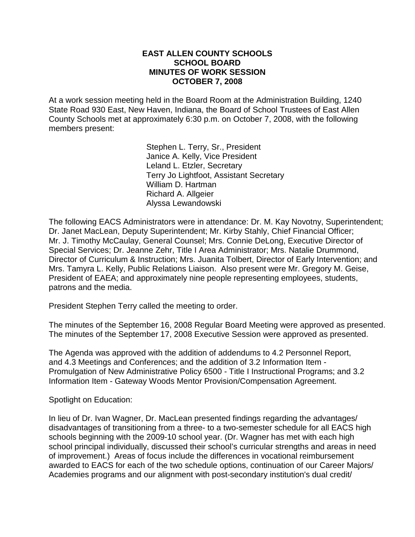#### **EAST ALLEN COUNTY SCHOOLS SCHOOL BOARD MINUTES OF WORK SESSION OCTOBER 7, 2008**

At a work session meeting held in the Board Room at the Administration Building, 1240 State Road 930 East, New Haven, Indiana, the Board of School Trustees of East Allen County Schools met at approximately 6:30 p.m. on October 7, 2008, with the following members present:

> Stephen L. Terry, Sr., President Janice A. Kelly, Vice President Leland L. Etzler, Secretary Terry Jo Lightfoot, Assistant Secretary William D. Hartman Richard A. Allgeier Alyssa Lewandowski

The following EACS Administrators were in attendance: Dr. M. Kay Novotny, Superintendent; Dr. Janet MacLean, Deputy Superintendent; Mr. Kirby Stahly, Chief Financial Officer; Mr. J. Timothy McCaulay, General Counsel; Mrs. Connie DeLong, Executive Director of Special Services; Dr. Jeanne Zehr, Title I Area Administrator; Mrs. Natalie Drummond, Director of Curriculum & Instruction; Mrs. Juanita Tolbert, Director of Early Intervention; and Mrs. Tamyra L. Kelly, Public Relations Liaison. Also present were Mr. Gregory M. Geise, President of EAEA; and approximately nine people representing employees, students, patrons and the media.

President Stephen Terry called the meeting to order.

The minutes of the September 16, 2008 Regular Board Meeting were approved as presented. The minutes of the September 17, 2008 Executive Session were approved as presented.

The Agenda was approved with the addition of addendums to 4.2 Personnel Report, and 4.3 Meetings and Conferences; and the addition of 3.2 Information Item - Promulgation of New Administrative Policy 6500 - Title I Instructional Programs; and 3.2 Information Item - Gateway Woods Mentor Provision/Compensation Agreement.

Spotlight on Education:

In lieu of Dr. Ivan Wagner, Dr. MacLean presented findings regarding the advantages/ disadvantages of transitioning from a three- to a two-semester schedule for all EACS high schools beginning with the 2009-10 school year. (Dr. Wagner has met with each high school principal individually, discussed their school's curricular strengths and areas in need of improvement.) Areas of focus include the differences in vocational reimbursement awarded to EACS for each of the two schedule options, continuation of our Career Majors/ Academies programs and our alignment with post-secondary institution's dual credit/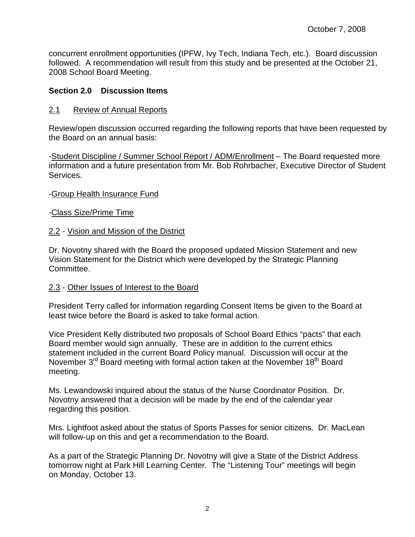concurrent enrollment opportunities (IPFW, Ivy Tech, Indiana Tech, etc.). Board discussion followed. A recommendation will result from this study and be presented at the October 21, 2008 School Board Meeting.

# **Section 2.0 Discussion Items**

### 2.1 Review of Annual Reports

Review/open discussion occurred regarding the following reports that have been requested by the Board on an annual basis:

-Student Discipline / Summer School Report / ADM/Enrollment - The Board requested more information and a future presentation from Mr. Bob Rohrbacher, Executive Director of Student Services.

### -Group Health Insurance Fund

### -Class Size/Prime Time

# 2.2 - Vision and Mission of the District

Dr. Novotny shared with the Board the proposed updated Mission Statement and new Vision Statement for the District which were developed by the Strategic Planning Committee.

### 2.3 - Other Issues of Interest to the Board

President Terry called for information regarding Consent Items be given to the Board at least twice before the Board is asked to take formal action.

Vice President Kelly distributed two proposals of School Board Ethics "pacts" that each Board member would sign annually. These are in addition to the current ethics statement included in the current Board Policy manual. Discussion will occur at the November  $3<sup>rd</sup>$  Board meeting with formal action taken at the November 18<sup>th</sup> Board meeting.

Ms. Lewandowski inquired about the status of the Nurse Coordinator Position. Dr. Novotny answered that a decision will be made by the end of the calendar year regarding this position.

Mrs. Lightfoot asked about the status of Sports Passes for senior citizens. Dr. MacLean will follow-up on this and get a recommendation to the Board.

As a part of the Strategic Planning Dr. Novotny will give a State of the District Address tomorrow night at Park Hill Learning Center. The "Listening Tour" meetings will begin on Monday, October 13.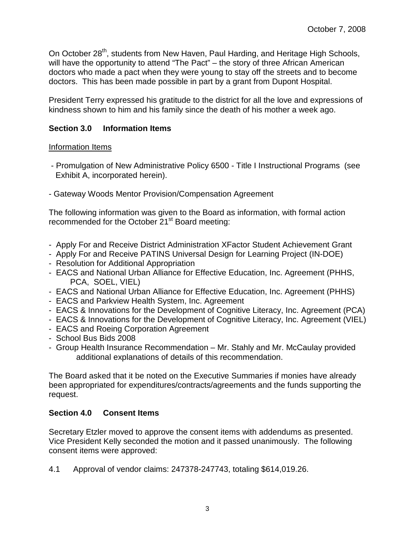On October 28<sup>th</sup>, students from New Haven, Paul Harding, and Heritage High Schools, will have the opportunity to attend "The Pact" – the story of three African American doctors who made a pact when they were young to stay off the streets and to become doctors. This has been made possible in part by a grant from Dupont Hospital.

President Terry expressed his gratitude to the district for all the love and expressions of kindness shown to him and his family since the death of his mother a week ago.

# **Section 3.0 Information Items**

# Information Items

- Promulgation of New Administrative Policy 6500 Title I Instructional Programs (see Exhibit A, incorporated herein).
- Gateway Woods Mentor Provision/Compensation Agreement

The following information was given to the Board as information, with formal action recommended for the October 21<sup>st</sup> Board meeting:

- Apply For and Receive District Administration XFactor Student Achievement Grant
- Apply For and Receive PATINS Universal Design for Learning Project (IN-DOE)
- Resolution for Additional Appropriation
- EACS and National Urban Alliance for Effective Education, Inc. Agreement (PHHS, PCA, SOEL, VIEL)
- EACS and National Urban Alliance for Effective Education, Inc. Agreement (PHHS)
- EACS and Parkview Health System, Inc. Agreement
- EACS & Innovations for the Development of Cognitive Literacy, Inc. Agreement (PCA)
- EACS & Innovations for the Development of Cognitive Literacy, Inc. Agreement (VIEL)
- EACS and Roeing Corporation Agreement
- School Bus Bids 2008
- Group Health Insurance Recommendation Mr. Stahly and Mr. McCaulay provided additional explanations of details of this recommendation.

The Board asked that it be noted on the Executive Summaries if monies have already been appropriated for expenditures/contracts/agreements and the funds supporting the request.

# **Section 4.0 Consent Items**

Secretary Etzler moved to approve the consent items with addendums as presented. Vice President Kelly seconded the motion and it passed unanimously. The following consent items were approved:

4.1 Approval of vendor claims: 247378-247743, totaling \$614,019.26.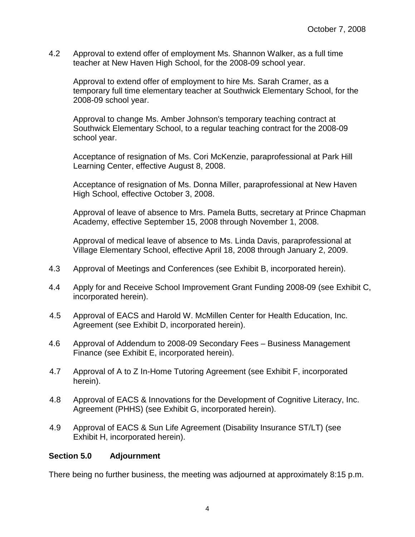4.2 Approval to extend offer of employment Ms. Shannon Walker, as a full time teacher at New Haven High School, for the 2008-09 school year.

Approval to extend offer of employment to hire Ms. Sarah Cramer, as a temporary full time elementary teacher at Southwick Elementary School, for the 2008-09 school year.

Approval to change Ms. Amber Johnson's temporary teaching contract at Southwick Elementary School, to a regular teaching contract for the 2008-09 school year.

 Acceptance of resignation of Ms. Cori McKenzie, paraprofessional at Park Hill Learning Center, effective August 8, 2008.

Acceptance of resignation of Ms. Donna Miller, paraprofessional at New Haven High School, effective October 3, 2008.

 Approval of leave of absence to Mrs. Pamela Butts, secretary at Prince Chapman Academy, effective September 15, 2008 through November 1, 2008.

Approval of medical leave of absence to Ms. Linda Davis, paraprofessional at Village Elementary School, effective April 18, 2008 through January 2, 2009.

- 4.3 Approval of Meetings and Conferences (see Exhibit B, incorporated herein).
- 4.4 Apply for and Receive School Improvement Grant Funding 2008-09 (see Exhibit C, incorporated herein).
- 4.5 Approval of EACS and Harold W. McMillen Center for Health Education, Inc. Agreement (see Exhibit D, incorporated herein).
- 4.6 Approval of Addendum to 2008-09 Secondary Fees Business Management Finance (see Exhibit E, incorporated herein).
- 4.7 Approval of A to Z In-Home Tutoring Agreement (see Exhibit F, incorporated herein).
- 4.8 Approval of EACS & Innovations for the Development of Cognitive Literacy, Inc. Agreement (PHHS) (see Exhibit G, incorporated herein).
- 4.9 Approval of EACS & Sun Life Agreement (Disability Insurance ST/LT) (see Exhibit H, incorporated herein).

#### **Section 5.0 Adjournment**

There being no further business, the meeting was adjourned at approximately 8:15 p.m.